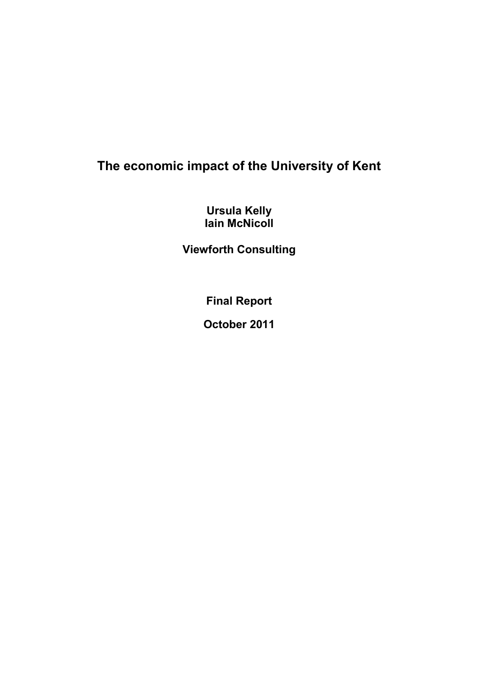## The economic impact of the University of Kent

Ursula Kelly Iain McNicoll

Viewforth Consulting

Final Report

October 2011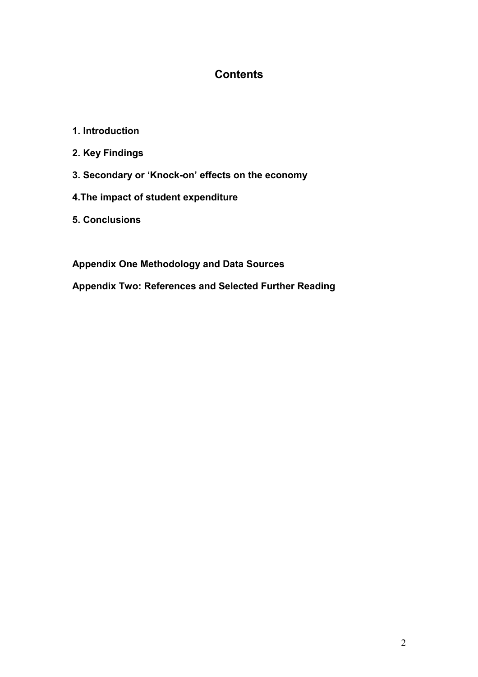## **Contents**

- 1. Introduction
- 2. Key Findings
- 3. Secondary or 'Knock-on' effects on the economy
- 4.The impact of student expenditure
- 5. Conclusions

Appendix One Methodology and Data Sources

Appendix Two: References and Selected Further Reading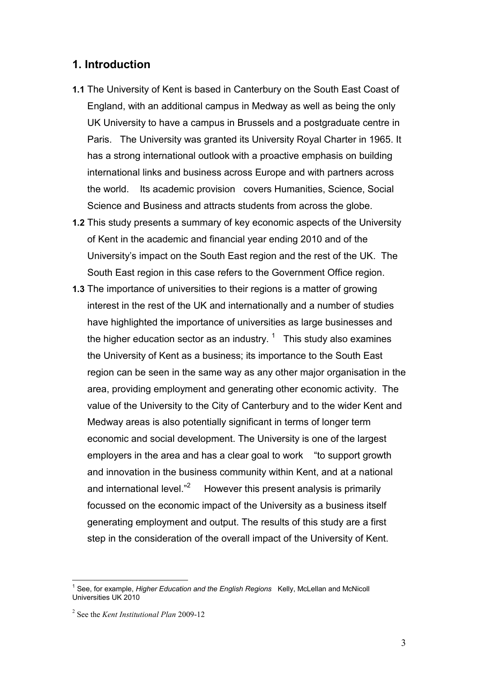#### 1. Introduction

- 1.1 The University of Kent is based in Canterbury on the South East Coast of England, with an additional campus in Medway as well as being the only UK University to have a campus in Brussels and a postgraduate centre in Paris. The University was granted its University Royal Charter in 1965. It has a strong international outlook with a proactive emphasis on building international links and business across Europe and with partners across the world. Its academic provision covers Humanities, Science, Social Science and Business and attracts students from across the globe.
- 1.2 This study presents a summary of key economic aspects of the University of Kent in the academic and financial year ending 2010 and of the University's impact on the South East region and the rest of the UK. The South East region in this case refers to the Government Office region.
- 1.3 The importance of universities to their regions is a matter of growing interest in the rest of the UK and internationally and a number of studies have highlighted the importance of universities as large businesses and the higher education sector as an industry.  $1$  This study also examines the University of Kent as a business; its importance to the South East region can be seen in the same way as any other major organisation in the area, providing employment and generating other economic activity. The value of the University to the City of Canterbury and to the wider Kent and Medway areas is also potentially significant in terms of longer term economic and social development. The University is one of the largest employers in the area and has a clear goal to work "to support growth and innovation in the business community within Kent, and at a national and international level."<sup>2</sup> However this present analysis is primarily focussed on the economic impact of the University as a business itself generating employment and output. The results of this study are a first step in the consideration of the overall impact of the University of Kent.

 $\overline{1}$ 

<sup>&</sup>lt;sup>1</sup> See, for example, Higher Education and the English Regions Kelly, McLellan and McNicoll Universities UK 2010

<sup>&</sup>lt;sup>2</sup> See the *Kent Institutional Plan* 2009-12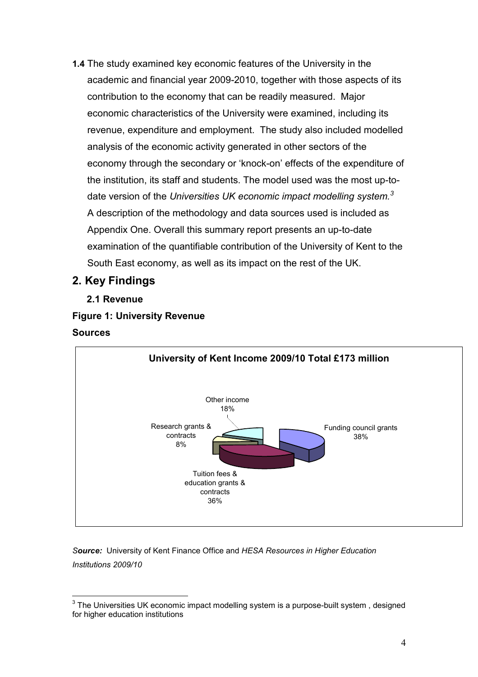1.4 The study examined key economic features of the University in the academic and financial year 2009-2010, together with those aspects of its contribution to the economy that can be readily measured. Major economic characteristics of the University were examined, including its revenue, expenditure and employment. The study also included modelled analysis of the economic activity generated in other sectors of the economy through the secondary or 'knock-on' effects of the expenditure of the institution, its staff and students. The model used was the most up-todate version of the Universities UK economic impact modelling system.<sup>3</sup> A description of the methodology and data sources used is included as Appendix One. Overall this summary report presents an up-to-date examination of the quantifiable contribution of the University of Kent to the South East economy, as well as its impact on the rest of the UK.

## 2. Key Findings

2.1 Revenue

## Figure 1: University Revenue **Sources**



Source: University of Kent Finance Office and HESA Resources in Higher Education Institutions 2009/10

 $\overline{\phantom{a}}$  $^3$  The Universities UK economic impact modelling system is a purpose-built system , designed for higher education institutions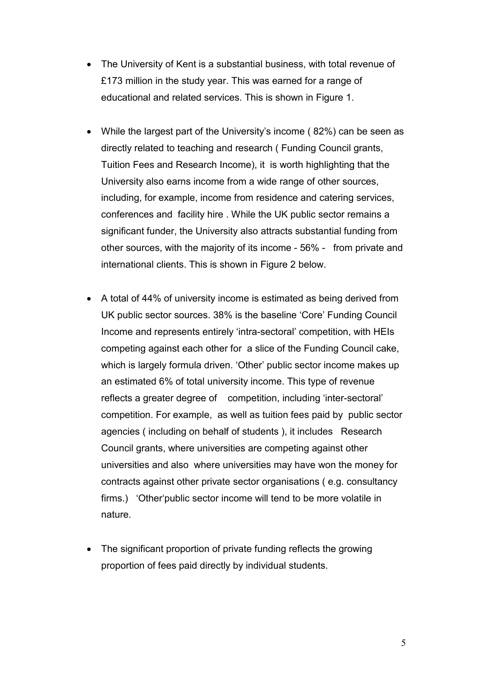- The University of Kent is a substantial business, with total revenue of £173 million in the study year. This was earned for a range of educational and related services. This is shown in Figure 1.
- While the largest part of the University's income ( 82%) can be seen as directly related to teaching and research ( Funding Council grants, Tuition Fees and Research Income), it is worth highlighting that the University also earns income from a wide range of other sources, including, for example, income from residence and catering services, conferences and facility hire . While the UK public sector remains a significant funder, the University also attracts substantial funding from other sources, with the majority of its income - 56% - from private and international clients. This is shown in Figure 2 below.
- A total of 44% of university income is estimated as being derived from UK public sector sources. 38% is the baseline 'Core' Funding Council Income and represents entirely 'intra-sectoral' competition, with HEIs competing against each other for a slice of the Funding Council cake, which is largely formula driven. 'Other' public sector income makes up an estimated 6% of total university income. This type of revenue reflects a greater degree of competition, including 'inter-sectoral' competition. For example, as well as tuition fees paid by public sector agencies ( including on behalf of students ), it includes Research Council grants, where universities are competing against other universities and also where universities may have won the money for contracts against other private sector organisations ( e.g. consultancy firms.) 'Other'public sector income will tend to be more volatile in nature.
- The significant proportion of private funding reflects the growing proportion of fees paid directly by individual students.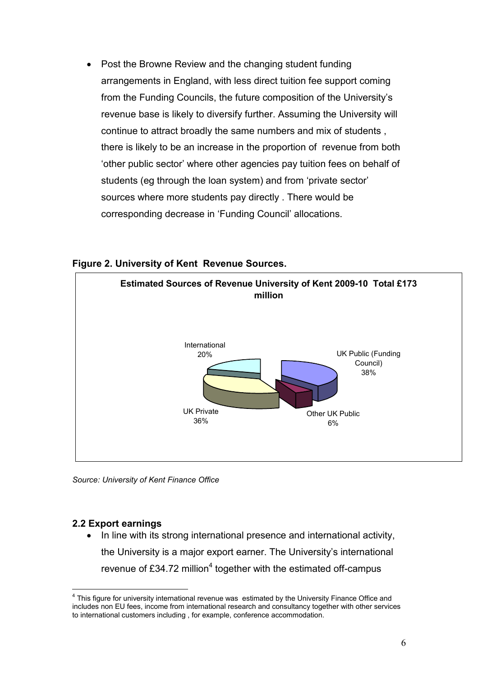• Post the Browne Review and the changing student funding arrangements in England, with less direct tuition fee support coming from the Funding Councils, the future composition of the University's revenue base is likely to diversify further. Assuming the University will continue to attract broadly the same numbers and mix of students , there is likely to be an increase in the proportion of revenue from both 'other public sector' where other agencies pay tuition fees on behalf of students (eg through the loan system) and from 'private sector' sources where more students pay directly . There would be corresponding decrease in 'Funding Council' allocations.



Figure 2. University of Kent Revenue Sources.

Source: University of Kent Finance Office

#### 2.2 Export earnings

 $\overline{\phantom{a}}$ 

• In line with its strong international presence and international activity, the University is a major export earner. The University's international revenue of £34.72 million<sup>4</sup> together with the estimated off-campus

<sup>&</sup>lt;sup>4</sup> This figure for university international revenue was estimated by the University Finance Office and includes non EU fees, income from international research and consultancy together with other services to international customers including , for example, conference accommodation.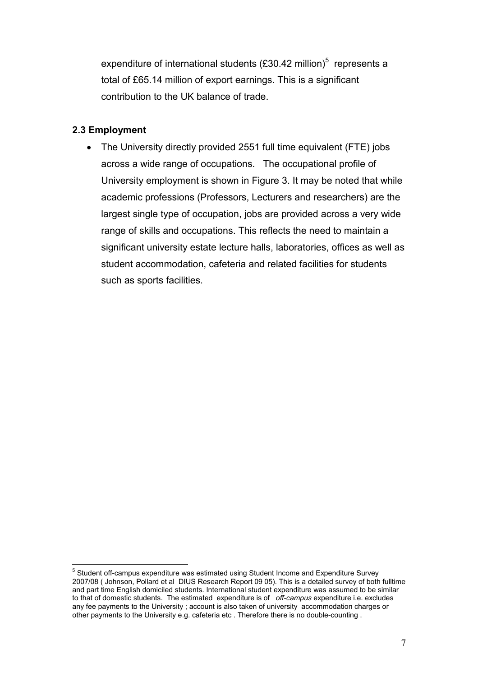expenditure of international students (£30.42 million)<sup>5</sup> represents a total of £65.14 million of export earnings. This is a significant contribution to the UK balance of trade.

#### 2.3 Employment

• The University directly provided 2551 full time equivalent (FTE) jobs across a wide range of occupations. The occupational profile of University employment is shown in Figure 3. It may be noted that while academic professions (Professors, Lecturers and researchers) are the largest single type of occupation, jobs are provided across a very wide range of skills and occupations. This reflects the need to maintain a significant university estate lecture halls, laboratories, offices as well as student accommodation, cafeteria and related facilities for students such as sports facilities.

 5 Student off-campus expenditure was estimated using Student Income and Expenditure Survey 2007/08 ( Johnson, Pollard et al DIUS Research Report 09 05). This is a detailed survey of both fulltime and part time English domiciled students. International student expenditure was assumed to be similar to that of domestic students. The estimated expenditure is of off-campus expenditure i.e. excludes any fee payments to the University ; account is also taken of university accommodation charges or other payments to the University e.g. cafeteria etc . Therefore there is no double-counting .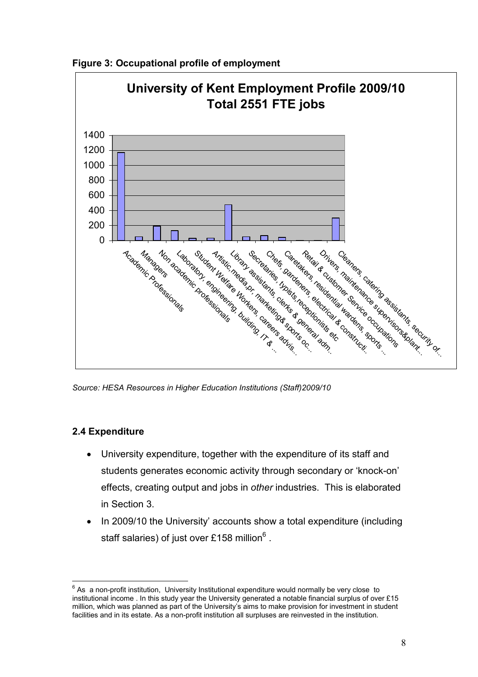



Source: HESA Resources in Higher Education Institutions (Staff)2009/10

#### 2.4 Expenditure

- University expenditure, together with the expenditure of its staff and students generates economic activity through secondary or 'knock-on' effects, creating output and jobs in other industries. This is elaborated in Section 3.
- In 2009/10 the University' accounts show a total expenditure (including staff salaries) of just over £158 million $^6$  .

 $\overline{a}$  $^6$  As a non-profit institution, University Institutional expenditure would normally be very close to institutional income . In this study year the University generated a notable financial surplus of over £15 million, which was planned as part of the University's aims to make provision for investment in student facilities and in its estate. As a non-profit institution all surpluses are reinvested in the institution.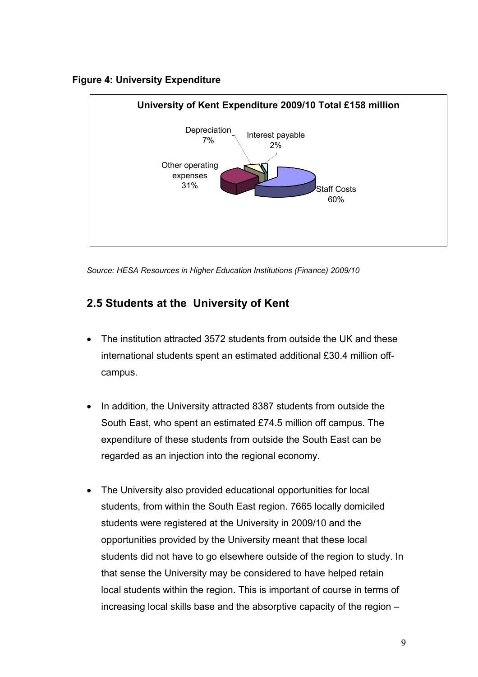#### Figure 4: University Expenditure



Source: HESA Resources in Higher Education Institutions (Finance) 2009/10

## 2.5 Students at the University of Kent

- The institution attracted 3572 students from outside the UK and these international students spent an estimated additional £30.4 million offcampus.
- In addition, the University attracted 8387 students from outside the South East, who spent an estimated £74.5 million off campus. The expenditure of these students from outside the South East can be regarded as an injection into the regional economy.
- The University also provided educational opportunities for local students, from within the South East region. 7665 locally domiciled students were registered at the University in 2009/10 and the opportunities provided by the University meant that these local students did not have to go elsewhere outside of the region to study. In that sense the University may be considered to have helped retain local students within the region. This is important of course in terms of increasing local skills base and the absorptive capacity of the region –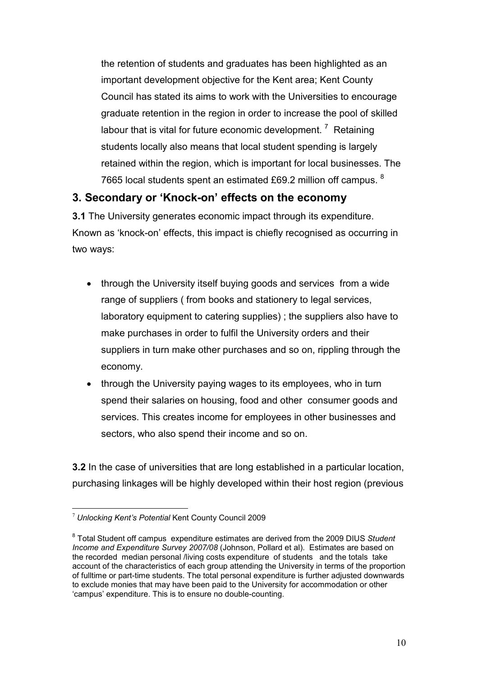the retention of students and graduates has been highlighted as an important development objective for the Kent area; Kent County Council has stated its aims to work with the Universities to encourage graduate retention in the region in order to increase the pool of skilled labour that is vital for future economic development.  $\frac{7}{ }$  Retaining students locally also means that local student spending is largely retained within the region, which is important for local businesses. The 7665 local students spent an estimated £69.2 million off campus. <sup>8</sup>

## 3. Secondary or 'Knock-on' effects on the economy

3.1 The University generates economic impact through its expenditure. Known as 'knock-on' effects, this impact is chiefly recognised as occurring in two ways:

- through the University itself buying goods and services from a wide range of suppliers ( from books and stationery to legal services, laboratory equipment to catering supplies) ; the suppliers also have to make purchases in order to fulfil the University orders and their suppliers in turn make other purchases and so on, rippling through the economy.
- through the University paying wages to its employees, who in turn spend their salaries on housing, food and other consumer goods and services. This creates income for employees in other businesses and sectors, who also spend their income and so on.

3.2 In the case of universities that are long established in a particular location, purchasing linkages will be highly developed within their host region (previous

 $\overline{a}$  $7$  Unlocking Kent's Potential Kent County Council 2009

 $8$  Total Student off campus expenditure estimates are derived from the 2009 DIUS Student Income and Expenditure Survey 2007/08 (Johnson, Pollard et al). Estimates are based on the recorded median personal /living costs expenditure of students and the totals take account of the characteristics of each group attending the University in terms of the proportion of fulltime or part-time students. The total personal expenditure is further adjusted downwards to exclude monies that may have been paid to the University for accommodation or other 'campus' expenditure. This is to ensure no double-counting.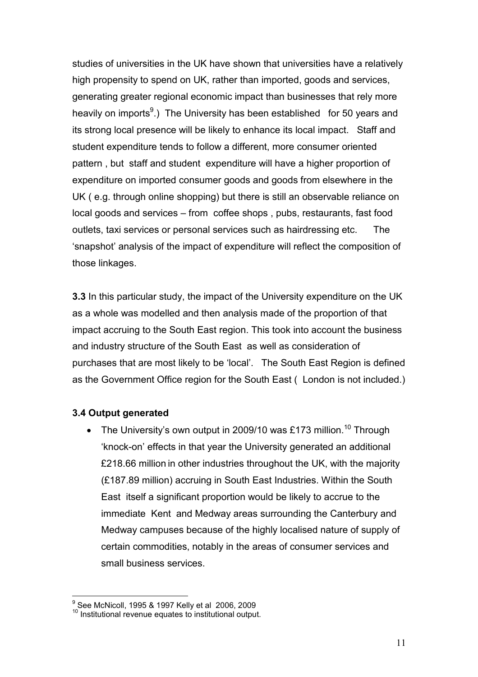studies of universities in the UK have shown that universities have a relatively high propensity to spend on UK, rather than imported, goods and services, generating greater regional economic impact than businesses that rely more heavily on imports<sup>9</sup>.) The University has been established for 50 years and its strong local presence will be likely to enhance its local impact. Staff and student expenditure tends to follow a different, more consumer oriented pattern , but staff and student expenditure will have a higher proportion of expenditure on imported consumer goods and goods from elsewhere in the UK ( e.g. through online shopping) but there is still an observable reliance on local goods and services – from coffee shops , pubs, restaurants, fast food outlets, taxi services or personal services such as hairdressing etc. The 'snapshot' analysis of the impact of expenditure will reflect the composition of those linkages.

3.3 In this particular study, the impact of the University expenditure on the UK as a whole was modelled and then analysis made of the proportion of that impact accruing to the South East region. This took into account the business and industry structure of the South East as well as consideration of purchases that are most likely to be 'local'. The South East Region is defined as the Government Office region for the South East ( London is not included.)

#### 3.4 Output generated

• The University's own output in 2009/10 was £173 million.<sup>10</sup> Through 'knock-on' effects in that year the University generated an additional £218.66 million in other industries throughout the UK, with the majority (£187.89 million) accruing in South East Industries. Within the South East itself a significant proportion would be likely to accrue to the immediate Kent and Medway areas surrounding the Canterbury and Medway campuses because of the highly localised nature of supply of certain commodities, notably in the areas of consumer services and small business services.

 9 See McNicoll, 1995 & 1997 Kelly et al 2006, 2009

 $10$  Institutional revenue equates to institutional output.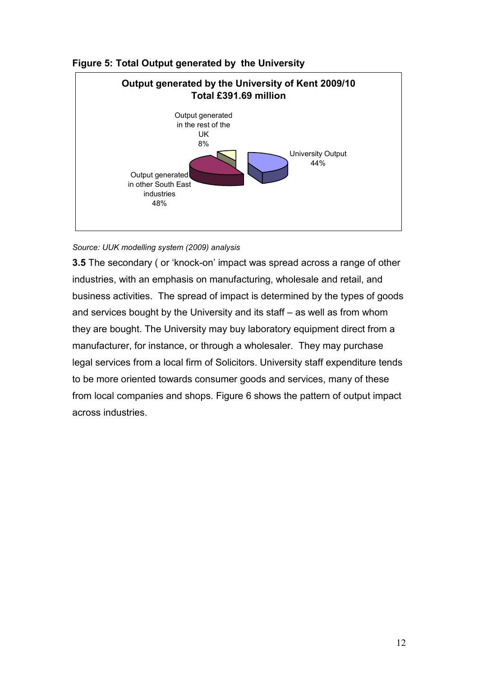

#### Figure 5: Total Output generated by the University

#### Source: UUK modelling system (2009) analysis

3.5 The secondary ( or 'knock-on' impact was spread across a range of other industries, with an emphasis on manufacturing, wholesale and retail, and business activities. The spread of impact is determined by the types of goods and services bought by the University and its staff – as well as from whom they are bought. The University may buy laboratory equipment direct from a manufacturer, for instance, or through a wholesaler. They may purchase legal services from a local firm of Solicitors. University staff expenditure tends to be more oriented towards consumer goods and services, many of these from local companies and shops. Figure 6 shows the pattern of output impact across industries.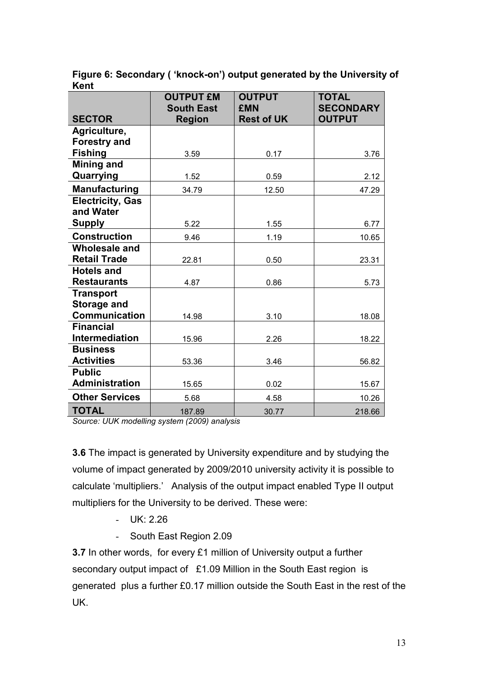Figure 6: Secondary ( 'knock-on') output generated by the University of Kent

|                         | <b>OUTPUT £M</b><br><b>South East</b> | <b>OUTPUT</b><br><b>£MN</b> | <b>TOTAL</b><br><b>SECONDARY</b> |
|-------------------------|---------------------------------------|-----------------------------|----------------------------------|
| <b>SECTOR</b>           | <b>Region</b>                         | <b>Rest of UK</b>           | <b>OUTPUT</b>                    |
| Agriculture,            |                                       |                             |                                  |
| <b>Forestry and</b>     |                                       |                             |                                  |
| <b>Fishing</b>          | 3.59                                  | 0.17                        | 3.76                             |
| Mining and              |                                       |                             |                                  |
| Quarrying               | 1.52                                  | 0.59                        | 2.12                             |
| Manufacturing           | 34.79                                 | 12.50                       | 47.29                            |
| <b>Electricity, Gas</b> |                                       |                             |                                  |
| and Water               |                                       |                             |                                  |
| <b>Supply</b>           | 5.22                                  | 1.55                        | 6.77                             |
| <b>Construction</b>     | 9.46                                  | 1.19                        | 10.65                            |
| <b>Wholesale and</b>    |                                       |                             |                                  |
| <b>Retail Trade</b>     | 22.81                                 | 0.50                        | 23.31                            |
| <b>Hotels and</b>       |                                       |                             |                                  |
| <b>Restaurants</b>      | 4.87                                  | 0.86                        | 5.73                             |
| <b>Transport</b>        |                                       |                             |                                  |
| <b>Storage and</b>      |                                       |                             |                                  |
| <b>Communication</b>    | 14.98                                 | 3.10                        | 18.08                            |
| <b>Financial</b>        |                                       |                             |                                  |
| <b>Intermediation</b>   | 15.96                                 | 2.26                        | 18.22                            |
| <b>Business</b>         |                                       |                             |                                  |
| <b>Activities</b>       | 53.36                                 | 3.46                        | 56.82                            |
| <b>Public</b>           |                                       |                             |                                  |
| <b>Administration</b>   | 15.65                                 | 0.02                        | 15.67                            |
| <b>Other Services</b>   | 5.68                                  | 4.58                        | 10.26                            |
| <b>TOTAL</b>            | 187.89                                | 30.77                       | 218.66                           |

Source: UUK modelling system (2009) analysis

3.6 The impact is generated by University expenditure and by studying the volume of impact generated by 2009/2010 university activity it is possible to calculate 'multipliers.' Analysis of the output impact enabled Type II output multipliers for the University to be derived. These were:

- UK: 2.26
- South East Region 2.09

3.7 In other words, for every £1 million of University output a further secondary output impact of £1.09 Million in the South East region is generated plus a further £0.17 million outside the South East in the rest of the UK.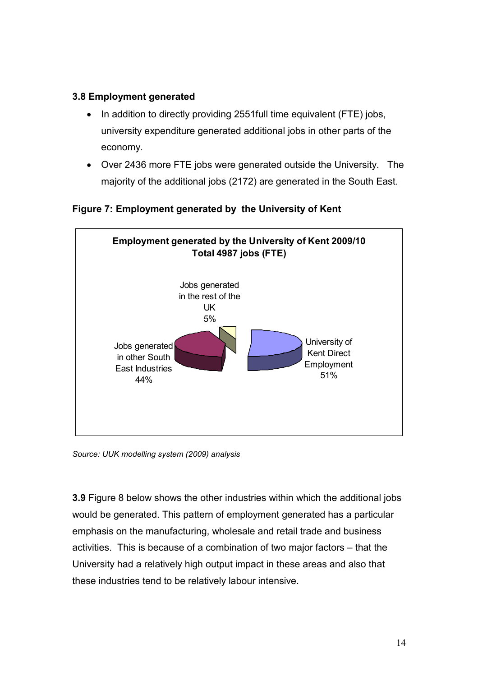#### 3.8 Employment generated

- In addition to directly providing 2551full time equivalent (FTE) jobs, university expenditure generated additional jobs in other parts of the economy.
- Over 2436 more FTE jobs were generated outside the University. The majority of the additional jobs (2172) are generated in the South East.

Employment generated by the University of Kent 2009/10 Total 4987 jobs (FTE) University of Kent Direct Employment 51% Jobs generated in other South East Industries 44% Jobs generated in the rest of the UK 5%

Figure 7: Employment generated by the University of Kent

Source: UUK modelling system (2009) analysis

3.9 Figure 8 below shows the other industries within which the additional jobs would be generated. This pattern of employment generated has a particular emphasis on the manufacturing, wholesale and retail trade and business activities. This is because of a combination of two major factors – that the University had a relatively high output impact in these areas and also that these industries tend to be relatively labour intensive.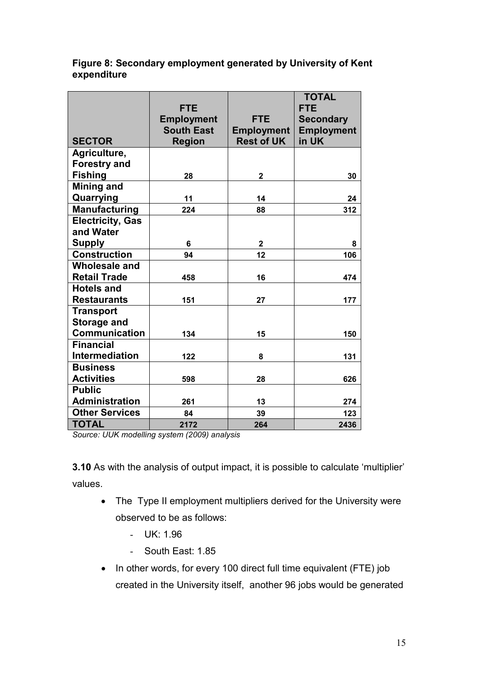#### Figure 8: Secondary employment generated by University of Kent expenditure

|                         | <b>FTE</b><br><b>Employment</b>    | <b>FTE</b>                             | <b>TOTAL</b><br><b>FTE</b><br><b>Secondary</b> |
|-------------------------|------------------------------------|----------------------------------------|------------------------------------------------|
| <b>SECTOR</b>           | <b>South East</b><br><b>Region</b> | <b>Employment</b><br><b>Rest of UK</b> | <b>Employment</b><br>in UK                     |
| Agriculture,            |                                    |                                        |                                                |
| <b>Forestry and</b>     |                                    |                                        |                                                |
| <b>Fishing</b>          | 28                                 | $\overline{2}$                         | 30                                             |
| <b>Mining and</b>       |                                    |                                        |                                                |
| Quarrying               | 11                                 | 14                                     | 24                                             |
| <b>Manufacturing</b>    | 224                                | 88                                     | 312                                            |
| <b>Electricity, Gas</b> |                                    |                                        |                                                |
| and Water               |                                    |                                        |                                                |
| <b>Supply</b>           | 6                                  | $\overline{2}$                         | 8                                              |
| <b>Construction</b>     | 94                                 | 12                                     | 106                                            |
| <b>Wholesale and</b>    |                                    |                                        |                                                |
| <b>Retail Trade</b>     | 458                                | 16                                     | 474                                            |
| <b>Hotels and</b>       |                                    |                                        |                                                |
| <b>Restaurants</b>      | 151                                | 27                                     | 177                                            |
| <b>Transport</b>        |                                    |                                        |                                                |
| <b>Storage and</b>      |                                    |                                        |                                                |
| <b>Communication</b>    | 134                                | 15                                     | 150                                            |
| <b>Financial</b>        |                                    |                                        |                                                |
| Intermediation          | 122                                | 8                                      | 131                                            |
| <b>Business</b>         |                                    |                                        |                                                |
| <b>Activities</b>       | 598                                | 28                                     | 626                                            |
| <b>Public</b>           |                                    |                                        |                                                |
| <b>Administration</b>   | 261                                | 13                                     | 274                                            |
| <b>Other Services</b>   | 84                                 | 39                                     | 123                                            |
| <b>TOTAL</b>            | 2172                               | 264                                    | 2436                                           |

Source: UUK modelling system (2009) analysis

3.10 As with the analysis of output impact, it is possible to calculate 'multiplier' values.

- The Type II employment multipliers derived for the University were observed to be as follows:
	- UK: 1.96
	- South East: 1.85
- In other words, for every 100 direct full time equivalent (FTE) job created in the University itself, another 96 jobs would be generated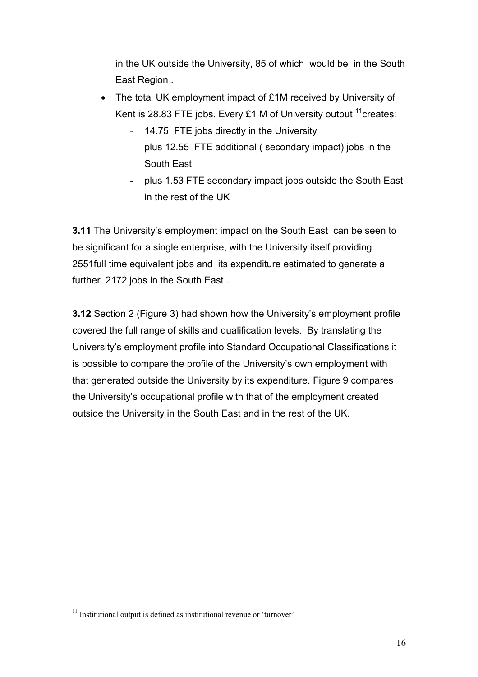in the UK outside the University, 85 of which would be in the South East Region .

- The total UK employment impact of £1M received by University of Kent is 28.83 FTE jobs. Every £1 M of University output  $11$  creates:
	- 14.75 FTE jobs directly in the University
	- plus 12.55 FTE additional ( secondary impact) jobs in the South East
	- plus 1.53 FTE secondary impact jobs outside the South East in the rest of the UK

3.11 The University's employment impact on the South East can be seen to be significant for a single enterprise, with the University itself providing 2551full time equivalent jobs and its expenditure estimated to generate a further 2172 jobs in the South East .

3.12 Section 2 (Figure 3) had shown how the University's employment profile covered the full range of skills and qualification levels. By translating the University's employment profile into Standard Occupational Classifications it is possible to compare the profile of the University's own employment with that generated outside the University by its expenditure. Figure 9 compares the University's occupational profile with that of the employment created outside the University in the South East and in the rest of the UK.

 $\overline{a}$  $11$  Institutional output is defined as institutional revenue or 'turnover'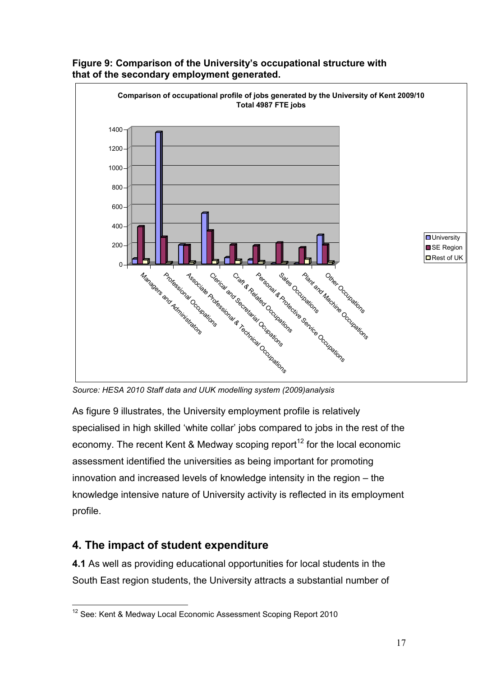

#### Figure 9: Comparison of the University's occupational structure with that of the secondary employment generated.

Source: HESA 2010 Staff data and UUK modelling system (2009)analysis

As figure 9 illustrates, the University employment profile is relatively specialised in high skilled 'white collar' jobs compared to jobs in the rest of the economy. The recent Kent & Medway scoping report<sup>12</sup> for the local economic assessment identified the universities as being important for promoting innovation and increased levels of knowledge intensity in the region – the knowledge intensive nature of University activity is reflected in its employment profile.

## 4. The impact of student expenditure

4.1 As well as providing educational opportunities for local students in the South East region students, the University attracts a substantial number of

 $\overline{\phantom{a}}$  $12$  See: Kent & Medway Local Economic Assessment Scoping Report 2010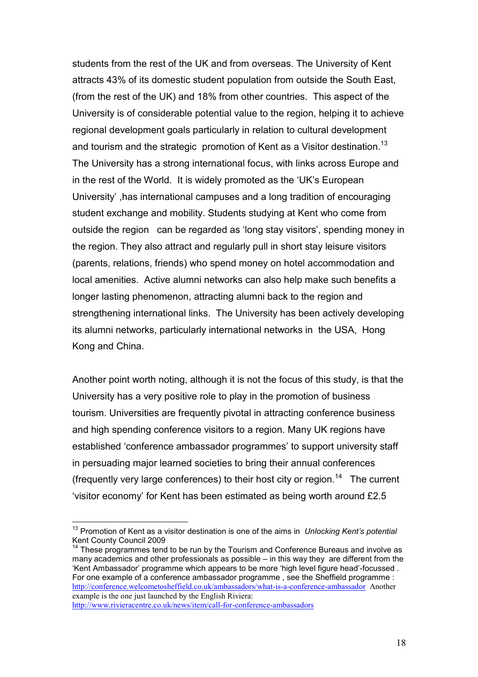students from the rest of the UK and from overseas. The University of Kent attracts 43% of its domestic student population from outside the South East, (from the rest of the UK) and 18% from other countries. This aspect of the University is of considerable potential value to the region, helping it to achieve regional development goals particularly in relation to cultural development and tourism and the strategic promotion of Kent as a Visitor destination.<sup>13</sup> The University has a strong international focus, with links across Europe and in the rest of the World. It is widely promoted as the 'UK's European University' ,has international campuses and a long tradition of encouraging student exchange and mobility. Students studying at Kent who come from outside the region can be regarded as 'long stay visitors', spending money in the region. They also attract and regularly pull in short stay leisure visitors (parents, relations, friends) who spend money on hotel accommodation and local amenities. Active alumni networks can also help make such benefits a longer lasting phenomenon, attracting alumni back to the region and strengthening international links. The University has been actively developing its alumni networks, particularly international networks in the USA, Hong Kong and China.

Another point worth noting, although it is not the focus of this study, is that the University has a very positive role to play in the promotion of business tourism. Universities are frequently pivotal in attracting conference business and high spending conference visitors to a region. Many UK regions have established 'conference ambassador programmes' to support university staff in persuading major learned societies to bring their annual conferences (frequently very large conferences) to their host city or region.<sup>14</sup> The current 'visitor economy' for Kent has been estimated as being worth around £2.5

 $\overline{\phantom{a}}$ 

 $13$  Promotion of Kent as a visitor destination is one of the aims in Unlocking Kent's potential Kent County Council 2009

 $14$  These programmes tend to be run by the Tourism and Conference Bureaus and involve as many academics and other professionals as possible – in this way they are different from the 'Kent Ambassador' programme which appears to be more 'high level figure head'-focussed . For one example of a conference ambassador programme , see the Sheffield programme : http://conference.welcometosheffield.co.uk/ambassadors/what-is-a-conference-ambassador Another example is the one just launched by the English Riviera: http://www.rivieracentre.co.uk/news/item/call-for-conference-ambassadors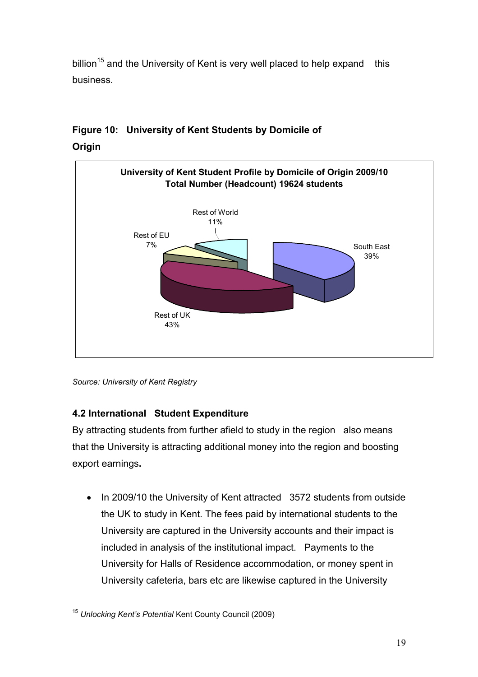billion<sup>15</sup> and the University of Kent is very well placed to help expand this business.

# University of Kent Student Profile by Domicile of Origin 2009/10 Total Number (Headcount) 19624 students South East 39% Rest of UK 43% Rest of EU 7% Rest of World 11%

## Figure 10: University of Kent Students by Domicile of **Origin**

## 4.2 International Student Expenditure

By attracting students from further afield to study in the region also means that the University is attracting additional money into the region and boosting export earnings.

• In 2009/10 the University of Kent attracted 3572 students from outside the UK to study in Kent. The fees paid by international students to the University are captured in the University accounts and their impact is included in analysis of the institutional impact. Payments to the University for Halls of Residence accommodation, or money spent in University cafeteria, bars etc are likewise captured in the University

Source: University of Kent Registry

 $\overline{\phantom{a}}$ <sup>15</sup> Unlocking Kent's Potential Kent County Council (2009)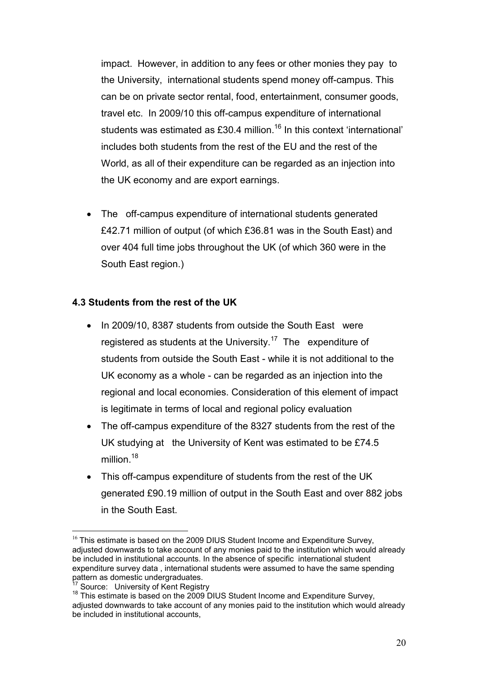impact. However, in addition to any fees or other monies they pay to the University, international students spend money off-campus. This can be on private sector rental, food, entertainment, consumer goods, travel etc. In 2009/10 this off-campus expenditure of international students was estimated as £30.4 million.<sup>16</sup> In this context 'international' includes both students from the rest of the EU and the rest of the World, as all of their expenditure can be regarded as an injection into the UK economy and are export earnings.

The off-campus expenditure of international students generated £42.71 million of output (of which £36.81 was in the South East) and over 404 full time jobs throughout the UK (of which 360 were in the South East region.)

#### 4.3 Students from the rest of the UK

- In 2009/10, 8387 students from outside the South East were registered as students at the University.<sup>17</sup> The expenditure of students from outside the South East - while it is not additional to the UK economy as a whole - can be regarded as an injection into the regional and local economies. Consideration of this element of impact is legitimate in terms of local and regional policy evaluation
- The off-campus expenditure of the 8327 students from the rest of the UK studying at the University of Kent was estimated to be £74.5 million.<sup>18</sup>
- This off-campus expenditure of students from the rest of the UK generated £90.19 million of output in the South East and over 882 jobs in the South East.

 $\overline{a}$  $16$  This estimate is based on the 2009 DIUS Student Income and Expenditure Survey, adjusted downwards to take account of any monies paid to the institution which would already be included in institutional accounts. In the absence of specific international student expenditure survey data , international students were assumed to have the same spending pattern as domestic undergraduates.

Source: University of Kent Registry

<sup>&</sup>lt;sup>18</sup> This estimate is based on the 2009 DIUS Student Income and Expenditure Survey, adjusted downwards to take account of any monies paid to the institution which would already be included in institutional accounts,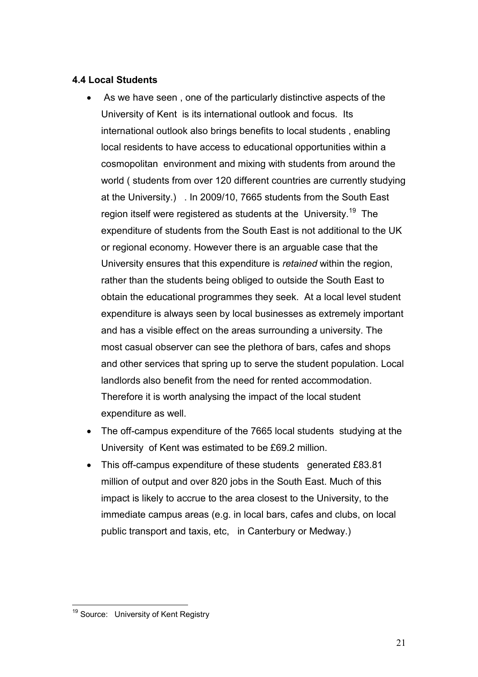#### 4.4 Local Students

- As we have seen , one of the particularly distinctive aspects of the University of Kent is its international outlook and focus. Its international outlook also brings benefits to local students , enabling local residents to have access to educational opportunities within a cosmopolitan environment and mixing with students from around the world ( students from over 120 different countries are currently studying at the University.) . In 2009/10, 7665 students from the South East region itself were registered as students at the University.<sup>19</sup> The expenditure of students from the South East is not additional to the UK or regional economy. However there is an arguable case that the University ensures that this expenditure is retained within the region, rather than the students being obliged to outside the South East to obtain the educational programmes they seek. At a local level student expenditure is always seen by local businesses as extremely important and has a visible effect on the areas surrounding a university. The most casual observer can see the plethora of bars, cafes and shops and other services that spring up to serve the student population. Local landlords also benefit from the need for rented accommodation. Therefore it is worth analysing the impact of the local student expenditure as well.
- The off-campus expenditure of the 7665 local students studying at the University of Kent was estimated to be £69.2 million.
- This off-campus expenditure of these students generated £83.81 million of output and over 820 jobs in the South East. Much of this impact is likely to accrue to the area closest to the University, to the immediate campus areas (e.g. in local bars, cafes and clubs, on local public transport and taxis, etc, in Canterbury or Medway.)

 $\overline{\phantom{a}}$ <sup>19</sup> Source: University of Kent Registry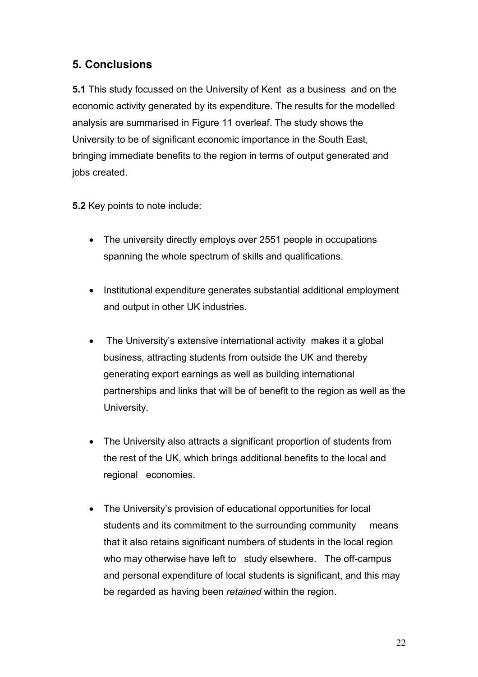## 5. Conclusions

5.1 This study focussed on the University of Kent as a business and on the economic activity generated by its expenditure. The results for the modelled analysis are summarised in Figure 11 overleaf. The study shows the University to be of significant economic importance in the South East, bringing immediate benefits to the region in terms of output generated and jobs created.

5.2 Key points to note include:

- The university directly employs over 2551 people in occupations spanning the whole spectrum of skills and qualifications.
- Institutional expenditure generates substantial additional employment and output in other UK industries.
- The University's extensive international activity makes it a global business, attracting students from outside the UK and thereby generating export earnings as well as building international partnerships and links that will be of benefit to the region as well as the University.
- The University also attracts a significant proportion of students from the rest of the UK, which brings additional benefits to the local and regional economies.
- The University's provision of educational opportunities for local students and its commitment to the surrounding community means that it also retains significant numbers of students in the local region who may otherwise have left to study elsewhere. The off-campus and personal expenditure of local students is significant, and this may be regarded as having been retained within the region.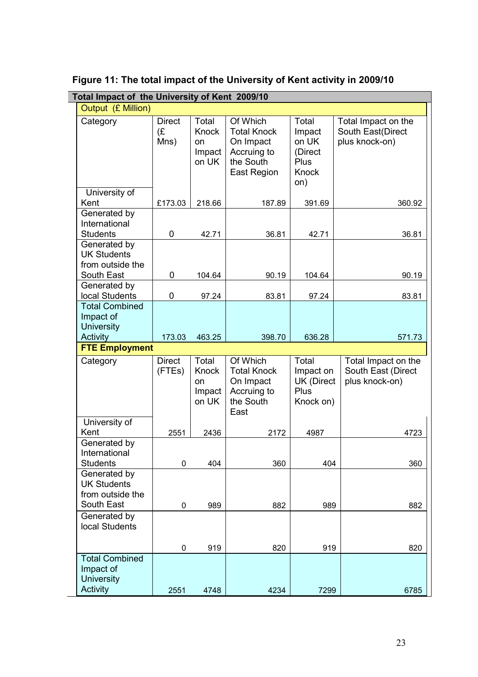|                                                                      | Total Impact of the University of Kent 2009/10 |                                                |                                                                                        |                                                                    |                                                             |  |  |  |
|----------------------------------------------------------------------|------------------------------------------------|------------------------------------------------|----------------------------------------------------------------------------------------|--------------------------------------------------------------------|-------------------------------------------------------------|--|--|--|
| Output (£ Million)                                                   |                                                |                                                |                                                                                        |                                                                    |                                                             |  |  |  |
| Category                                                             | <b>Direct</b><br>(E)<br>Mns)                   | Total<br>Knock<br><b>on</b><br>Impact<br>on UK | Of Which<br><b>Total Knock</b><br>On Impact<br>Accruing to<br>the South<br>East Region | Total<br>Impact<br>on UK<br>(Direct<br>Plus<br><b>Knock</b><br>on) | Total Impact on the<br>South East(Direct<br>plus knock-on)  |  |  |  |
| University of                                                        |                                                |                                                |                                                                                        |                                                                    |                                                             |  |  |  |
| Kent                                                                 | £173.03                                        | 218.66                                         | 187.89                                                                                 | 391.69                                                             | 360.92                                                      |  |  |  |
| Generated by<br>International<br><b>Students</b>                     | 0                                              | 42.71                                          | 36.81                                                                                  | 42.71                                                              | 36.81                                                       |  |  |  |
| Generated by<br><b>UK Students</b><br>from outside the               |                                                |                                                |                                                                                        |                                                                    |                                                             |  |  |  |
| South East<br>Generated by                                           | 0                                              | 104.64                                         | 90.19                                                                                  | 104.64                                                             | 90.19                                                       |  |  |  |
| local Students                                                       | $\pmb{0}$                                      | 97.24                                          | 83.81                                                                                  | 97.24                                                              | 83.81                                                       |  |  |  |
| <b>Total Combined</b><br>Impact of<br><b>University</b>              |                                                |                                                |                                                                                        |                                                                    |                                                             |  |  |  |
| Activity                                                             | 173.03                                         | 463.25                                         | 398.70                                                                                 | 636.28                                                             | 571.73                                                      |  |  |  |
| <b>FTE Employment</b>                                                |                                                |                                                |                                                                                        |                                                                    |                                                             |  |  |  |
| Category                                                             | <b>Direct</b><br>(FTEs)                        | Total<br>Knock<br><b>on</b><br>Impact<br>on UK | Of Which<br><b>Total Knock</b><br>On Impact<br>Accruing to<br>the South<br>East        | Total<br>Impact on<br><b>UK (Direct</b><br>Plus<br>Knock on)       | Total Impact on the<br>South East (Direct<br>plus knock-on) |  |  |  |
| University of<br>Kent                                                | 2551                                           | 2436                                           | 2172                                                                                   | 4987                                                               | 4723                                                        |  |  |  |
| Generated by<br>International<br><b>Students</b>                     | 0                                              | 404                                            | 360                                                                                    | 404                                                                | 360                                                         |  |  |  |
| Generated by<br><b>UK Students</b><br>from outside the<br>South East | 0                                              | 989                                            | 882                                                                                    | 989                                                                | 882                                                         |  |  |  |
| Generated by<br>local Students                                       |                                                |                                                |                                                                                        |                                                                    |                                                             |  |  |  |
|                                                                      | 0                                              | 919                                            | 820                                                                                    | 919                                                                | 820                                                         |  |  |  |
| <b>Total Combined</b><br>Impact of<br><b>University</b><br>Activity  |                                                |                                                |                                                                                        |                                                                    |                                                             |  |  |  |
|                                                                      | 2551                                           | 4748                                           | 4234                                                                                   | 7299                                                               | 6785                                                        |  |  |  |

 $\overline{\phantom{a}}$ 

Figure 11: The total impact of the University of Kent activity in 2009/10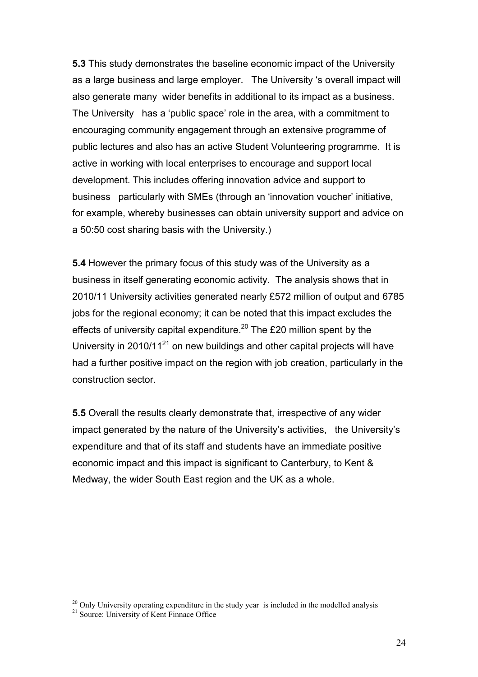5.3 This study demonstrates the baseline economic impact of the University as a large business and large employer. The University 's overall impact will also generate many wider benefits in additional to its impact as a business. The University has a 'public space' role in the area, with a commitment to encouraging community engagement through an extensive programme of public lectures and also has an active Student Volunteering programme. It is active in working with local enterprises to encourage and support local development. This includes offering innovation advice and support to business particularly with SMEs (through an 'innovation voucher' initiative, for example, whereby businesses can obtain university support and advice on a 50:50 cost sharing basis with the University.)

5.4 However the primary focus of this study was of the University as a business in itself generating economic activity. The analysis shows that in 2010/11 University activities generated nearly £572 million of output and 6785 jobs for the regional economy; it can be noted that this impact excludes the effects of university capital expenditure.<sup>20</sup> The £20 million spent by the University in  $2010/11^{21}$  on new buildings and other capital projects will have had a further positive impact on the region with job creation, particularly in the construction sector.

5.5 Overall the results clearly demonstrate that, irrespective of any wider impact generated by the nature of the University's activities, the University's expenditure and that of its staff and students have an immediate positive economic impact and this impact is significant to Canterbury, to Kent & Medway, the wider South East region and the UK as a whole.

 $\overline{a}$ 

 $20$  Only University operating expenditure in the study year is included in the modelled analysis

<sup>&</sup>lt;sup>21</sup> Source: University of Kent Finnace Office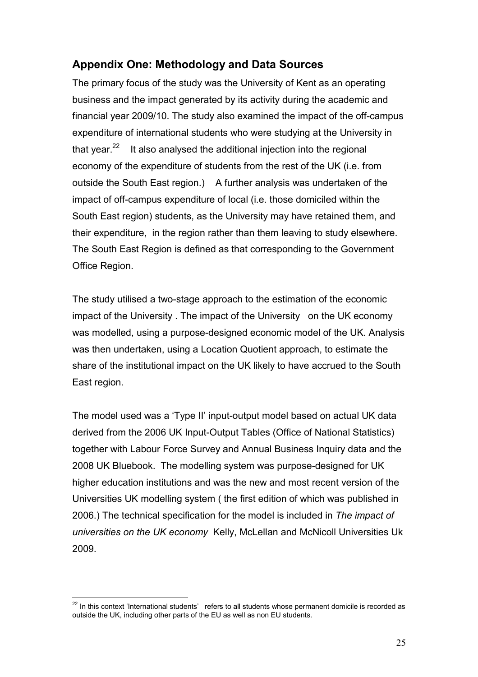## Appendix One: Methodology and Data Sources

The primary focus of the study was the University of Kent as an operating business and the impact generated by its activity during the academic and financial year 2009/10. The study also examined the impact of the off-campus expenditure of international students who were studying at the University in that year. $22$  It also analysed the additional injection into the regional economy of the expenditure of students from the rest of the UK (i.e. from outside the South East region.) A further analysis was undertaken of the impact of off-campus expenditure of local (i.e. those domiciled within the South East region) students, as the University may have retained them, and their expenditure, in the region rather than them leaving to study elsewhere. The South East Region is defined as that corresponding to the Government Office Region.

The study utilised a two-stage approach to the estimation of the economic impact of the University . The impact of the University on the UK economy was modelled, using a purpose-designed economic model of the UK. Analysis was then undertaken, using a Location Quotient approach, to estimate the share of the institutional impact on the UK likely to have accrued to the South East region.

The model used was a 'Type II' input-output model based on actual UK data derived from the 2006 UK Input-Output Tables (Office of National Statistics) together with Labour Force Survey and Annual Business Inquiry data and the 2008 UK Bluebook. The modelling system was purpose-designed for UK higher education institutions and was the new and most recent version of the Universities UK modelling system ( the first edition of which was published in 2006.) The technical specification for the model is included in The impact of universities on the UK economy Kelly, McLellan and McNicoll Universities Uk 2009.

 $\overline{a}$  $22$  In this context 'International students' refers to all students whose permanent domicile is recorded as outside the UK, including other parts of the EU as well as non EU students.